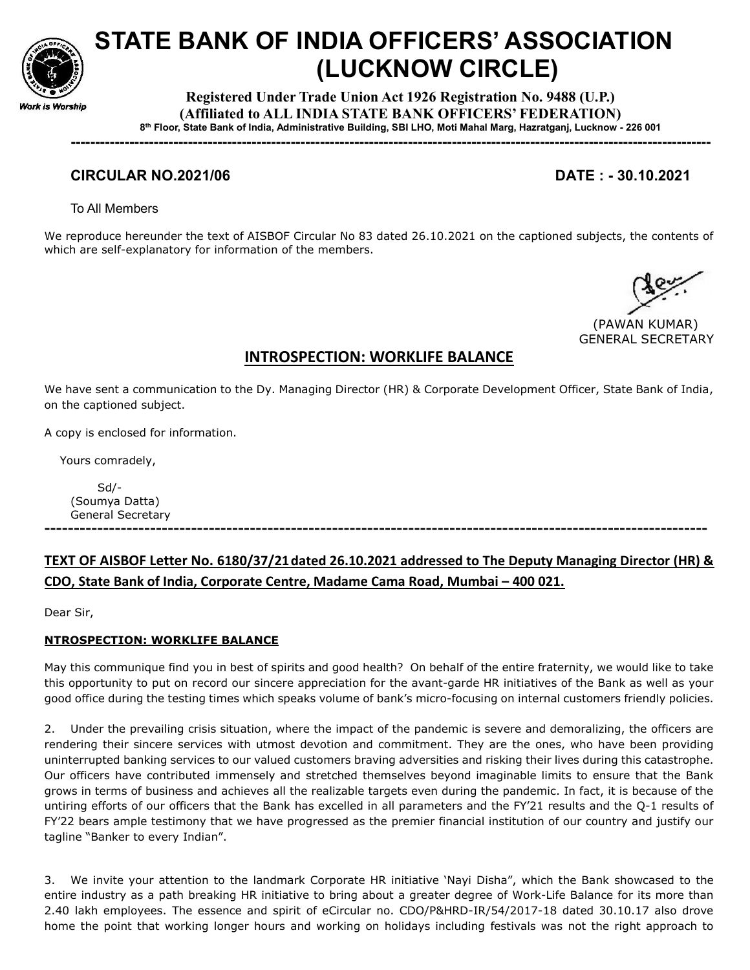

# STATE BANK OF INDIA OFFICERS' ASSOCIATION (LUCKNOW CIRCLE)

Registered Under Trade Union Act 1926 Registration No. 9488 (U.P.) (Affiliated to ALL INDIA STATE BANK OFFICERS' FEDERATION) 8 th Floor, State Bank of India, Administrative Building, SBI LHO, Moti Mahal Marg, Hazratganj, Lucknow - 226 001

-----------------------------------------------------------------------------------------------------------------------------------

### CIRCULAR NO.2021/06 DATE : - 30.10.2021

To All Members

We reproduce hereunder the text of AISBOF Circular No 83 dated 26.10.2021 on the captioned subjects, the contents of which are self-explanatory for information of the members.

 (PAWAN KUMAR) GENERAL SECRETARY

# INTROSPECTION: WORKLIFE BALANCE

We have sent a communication to the Dy. Managing Director (HR) & Corporate Development Officer, State Bank of India, on the captioned subject.

A copy is enclosed for information.

Yours comradely,

 Sd/- (Soumya Datta) General Secretary

# TEXT OF AISBOF Letter No. 6180/37/21 dated 26.10.2021 addressed to The Deputy Managing Director (HR) & CDO, State Bank of India, Corporate Centre, Madame Cama Road, Mumbai – 400 021.

-----------------------------------------------------------------------------------------------------------------

Dear Sir,

#### NTROSPECTION: WORKLIFE BALANCE

May this communique find you in best of spirits and good health? On behalf of the entire fraternity, we would like to take this opportunity to put on record our sincere appreciation for the avant-garde HR initiatives of the Bank as well as your good office during the testing times which speaks volume of bank's micro-focusing on internal customers friendly policies.

2. Under the prevailing crisis situation, where the impact of the pandemic is severe and demoralizing, the officers are rendering their sincere services with utmost devotion and commitment. They are the ones, who have been providing uninterrupted banking services to our valued customers braving adversities and risking their lives during this catastrophe. Our officers have contributed immensely and stretched themselves beyond imaginable limits to ensure that the Bank grows in terms of business and achieves all the realizable targets even during the pandemic. In fact, it is because of the untiring efforts of our officers that the Bank has excelled in all parameters and the FY'21 results and the Q-1 results of FY'22 bears ample testimony that we have progressed as the premier financial institution of our country and justify our tagline "Banker to every Indian".

3. We invite your attention to the landmark Corporate HR initiative 'Nayi Disha", which the Bank showcased to the entire industry as a path breaking HR initiative to bring about a greater degree of Work-Life Balance for its more than 2.40 lakh employees. The essence and spirit of eCircular no. CDO/P&HRD-IR/54/2017-18 dated 30.10.17 also drove home the point that working longer hours and working on holidays including festivals was not the right approach to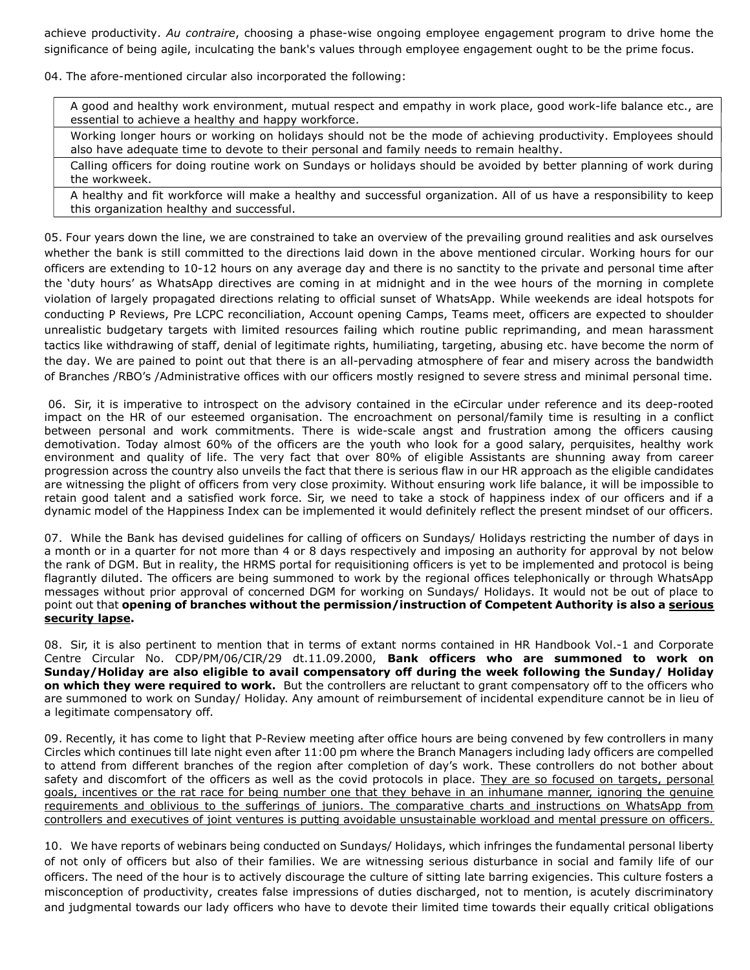achieve productivity. Au contraire, choosing a phase-wise ongoing employee engagement program to drive home the significance of being agile, inculcating the bank's values through employee engagement ought to be the prime focus.

04. The afore-mentioned circular also incorporated the following:

A good and healthy work environment, mutual respect and empathy in work place, good work-life balance etc., are essential to achieve a healthy and happy workforce.

Working longer hours or working on holidays should not be the mode of achieving productivity. Employees should also have adequate time to devote to their personal and family needs to remain healthy.

Calling officers for doing routine work on Sundays or holidays should be avoided by better planning of work during the workweek.

A healthy and fit workforce will make a healthy and successful organization. All of us have a responsibility to keep this organization healthy and successful.

05. Four years down the line, we are constrained to take an overview of the prevailing ground realities and ask ourselves whether the bank is still committed to the directions laid down in the above mentioned circular. Working hours for our officers are extending to 10-12 hours on any average day and there is no sanctity to the private and personal time after the 'duty hours' as WhatsApp directives are coming in at midnight and in the wee hours of the morning in complete violation of largely propagated directions relating to official sunset of WhatsApp. While weekends are ideal hotspots for conducting P Reviews, Pre LCPC reconciliation, Account opening Camps, Teams meet, officers are expected to shoulder unrealistic budgetary targets with limited resources failing which routine public reprimanding, and mean harassment tactics like withdrawing of staff, denial of legitimate rights, humiliating, targeting, abusing etc. have become the norm of the day. We are pained to point out that there is an all-pervading atmosphere of fear and misery across the bandwidth of Branches /RBO's /Administrative offices with our officers mostly resigned to severe stress and minimal personal time.

 06. Sir, it is imperative to introspect on the advisory contained in the eCircular under reference and its deep-rooted impact on the HR of our esteemed organisation. The encroachment on personal/family time is resulting in a conflict between personal and work commitments. There is wide-scale angst and frustration among the officers causing demotivation. Today almost 60% of the officers are the youth who look for a good salary, perquisites, healthy work environment and quality of life. The very fact that over 80% of eligible Assistants are shunning away from career progression across the country also unveils the fact that there is serious flaw in our HR approach as the eligible candidates are witnessing the plight of officers from very close proximity. Without ensuring work life balance, it will be impossible to retain good talent and a satisfied work force. Sir, we need to take a stock of happiness index of our officers and if a dynamic model of the Happiness Index can be implemented it would definitely reflect the present mindset of our officers.

07. While the Bank has devised guidelines for calling of officers on Sundays/ Holidays restricting the number of days in a month or in a quarter for not more than 4 or 8 days respectively and imposing an authority for approval by not below the rank of DGM. But in reality, the HRMS portal for requisitioning officers is yet to be implemented and protocol is being flagrantly diluted. The officers are being summoned to work by the regional offices telephonically or through WhatsApp messages without prior approval of concerned DGM for working on Sundays/ Holidays. It would not be out of place to point out that opening of branches without the permission/instruction of Competent Authority is also a serious security lapse.

08. Sir, it is also pertinent to mention that in terms of extant norms contained in HR Handbook Vol.-1 and Corporate Centre Circular No. CDP/PM/06/CIR/29 dt.11.09.2000, Bank officers who are summoned to work on Sunday/Holiday are also eligible to avail compensatory off during the week following the Sunday/ Holiday on which they were required to work. But the controllers are reluctant to grant compensatory off to the officers who are summoned to work on Sunday/ Holiday. Any amount of reimbursement of incidental expenditure cannot be in lieu of a legitimate compensatory off.

09. Recently, it has come to light that P-Review meeting after office hours are being convened by few controllers in many Circles which continues till late night even after 11:00 pm where the Branch Managers including lady officers are compelled to attend from different branches of the region after completion of day's work. These controllers do not bother about safety and discomfort of the officers as well as the covid protocols in place. They are so focused on targets, personal goals, incentives or the rat race for being number one that they behave in an inhumane manner, ignoring the genuine requirements and oblivious to the sufferings of juniors. The comparative charts and instructions on WhatsApp from controllers and executives of joint ventures is putting avoidable unsustainable workload and mental pressure on officers.

10. We have reports of webinars being conducted on Sundays/ Holidays, which infringes the fundamental personal liberty of not only of officers but also of their families. We are witnessing serious disturbance in social and family life of our officers. The need of the hour is to actively discourage the culture of sitting late barring exigencies. This culture fosters a misconception of productivity, creates false impressions of duties discharged, not to mention, is acutely discriminatory and judgmental towards our lady officers who have to devote their limited time towards their equally critical obligations